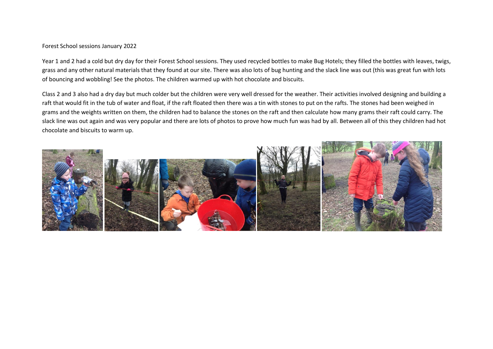## Forest School sessions January 2022

Year 1 and 2 had a cold but dry day for their Forest School sessions. They used recycled bottles to make Bug Hotels; they filled the bottles with leaves, twigs, grass and any other natural materials that they found at our site. There was also lots of bug hunting and the slack line was out (this was great fun with lots of bouncing and wobbling! See the photos. The children warmed up with hot chocolate and biscuits.

Class 2 and 3 also had a dry day but much colder but the children were very well dressed for the weather. Their activities involved designing and building a raft that would fit in the tub of water and float, if the raft floated then there was a tin with stones to put on the rafts. The stones had been weighed in grams and the weights written on them, the children had to balance the stones on the raft and then calculate how many grams their raft could carry. The slack line was out again and was very popular and there are lots of photos to prove how much fun was had by all. Between all of this they children had hot chocolate and biscuits to warm up.